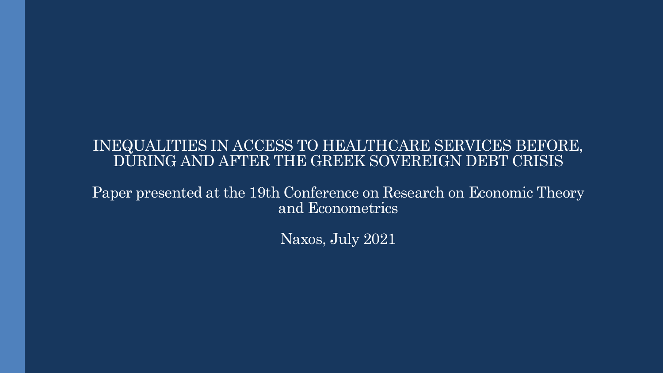#### INEQUALITIES IN ACCESS TO HEALTHCARE SERVICES BEFORE, DURING AND AFTER THE GREEK SOVEREIGN DEBT CRISIS

Paper presented at the 19th Conference on Research on Economic Theory and Econometrics

Naxos, July 2021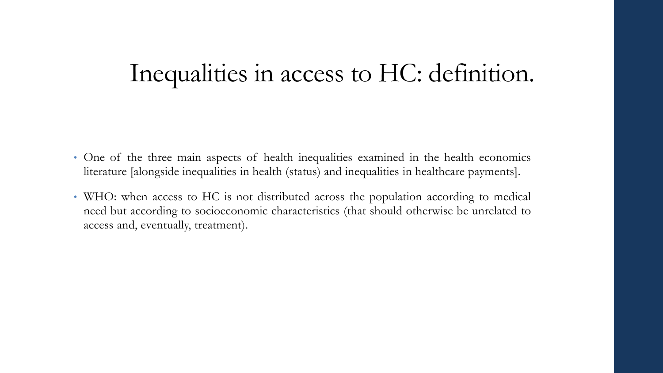## Inequalities in access to HC: definition.

- One of the three main aspects of health inequalities examined in the health economics literature [alongside inequalities in health (status) and inequalities in healthcare payments].
- WHO: when access to HC is not distributed across the population according to medical need but according to socioeconomic characteristics (that should otherwise be unrelated to access and, eventually, treatment).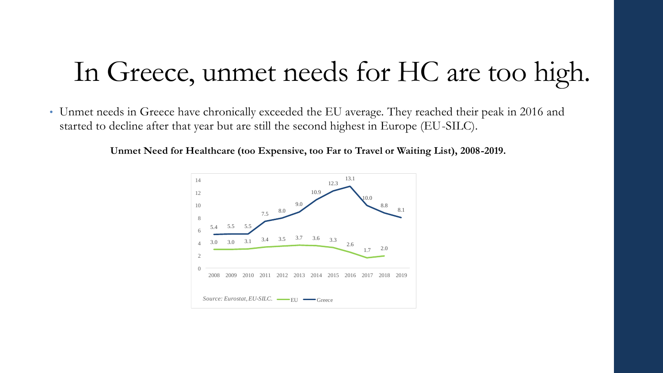# In Greece, unmet needs for HC are too high.

• Unmet needs in Greece have chronically exceeded the EU average. They reached their peak in 2016 and started to decline after that year but are still the second highest in Europe (EU-SILC).

**Unmet Need for Healthcare (too Expensive, too Far to Travel or Waiting List), 2008-2019.**

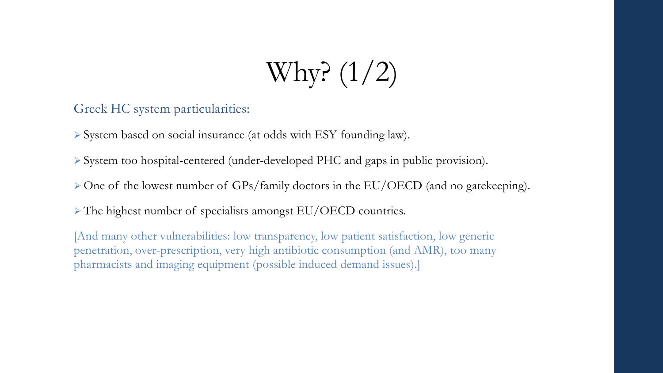# Why? (1/2)

Greek HC system particularities:

➢ System based on social insurance (at odds with ESY founding law).

➢ System too hospital-centered (under-developed PHC and gaps in public provision).

➢ One of the lowest number of GPs/family doctors in the EU/OECD (and no gatekeeping).

➢ The highest number of specialists amongst EU/OECD countries.

[And many other vulnerabilities: low transparency, low patient satisfaction, low generic penetration, over-prescription, very high antibiotic consumption (and AMR), too many pharmacists and imaging equipment (possible induced demand issues).]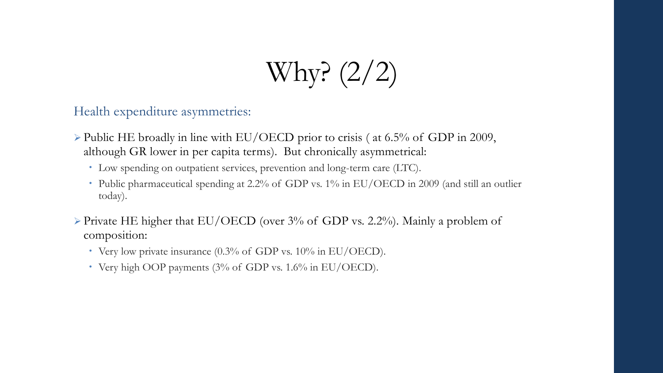Why? (2/2)

Health expenditure asymmetries:

- ➢ Public HE broadly in line with EU/OECD prior to crisis ( at 6.5% of GDP in 2009, although GR lower in per capita terms). But chronically asymmetrical:
	- Low spending on outpatient services, prevention and long-term care (LTC).
	- Public pharmaceutical spending at 2.2% of GDP vs. 1% in EU/OECD in 2009 (and still an outlier today).
- $\triangleright$  Private HE higher that EU/OECD (over 3% of GDP vs. 2.2%). Mainly a problem of composition:
	- Very low private insurance (0.3% of GDP vs. 10% in EU/OECD).
	- Very high OOP payments (3% of GDP vs. 1.6% in EU/OECD).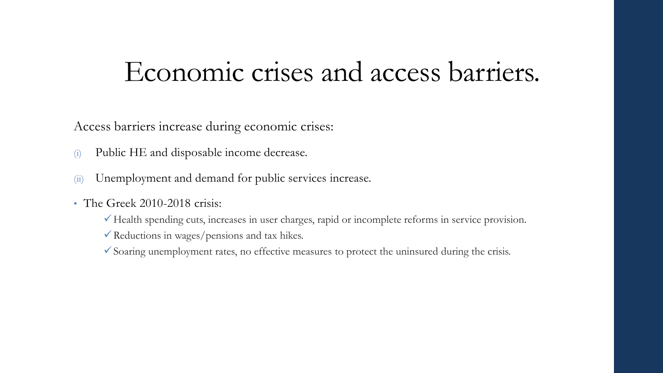### Economic crises and access barriers.

Access barriers increase during economic crises:

- (i) Public HE and disposable income decrease.
- (ii) Unemployment and demand for public services increase.
- The Greek 2010-2018 crisis:
	- ✓Health spending cuts, increases in user charges, rapid or incomplete reforms in service provision.
	- ✓Reductions in wages/pensions and tax hikes.
	- $\checkmark$  Soaring unemployment rates, no effective measures to protect the uninsured during the crisis.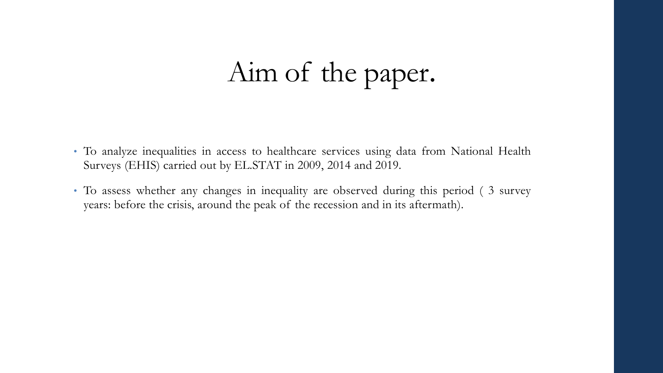# Aim of the paper.

- To analyze inequalities in access to healthcare services using data from National Health Surveys (EHIS) carried out by EL.STAT in 2009, 2014 and 2019.
- To assess whether any changes in inequality are observed during this period ( 3 survey years: before the crisis, around the peak of the recession and in its aftermath).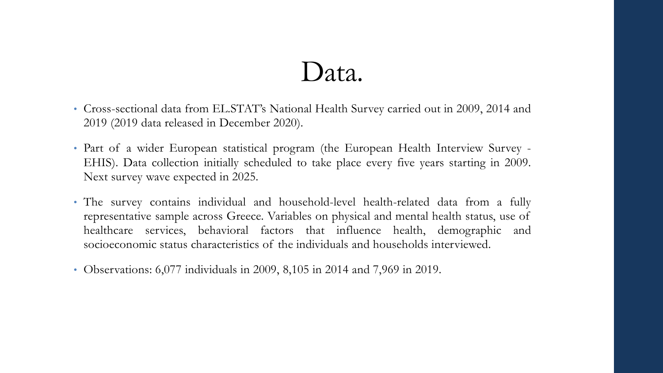### Data.

- Cross-sectional data from EL.STAT's National Health Survey carried out in 2009, 2014 and 2019 (2019 data released in December 2020).
- Part of a wider European statistical program (the European Health Interview Survey -EHIS). Data collection initially scheduled to take place every five years starting in 2009. Next survey wave expected in 2025.
- The survey contains individual and household-level health-related data from a fully representative sample across Greece. Variables on physical and mental health status, use of healthcare services, behavioral factors that influence health, demographic and socioeconomic status characteristics of the individuals and households interviewed.
- Observations: 6,077 individuals in 2009, 8,105 in 2014 and 7,969 in 2019.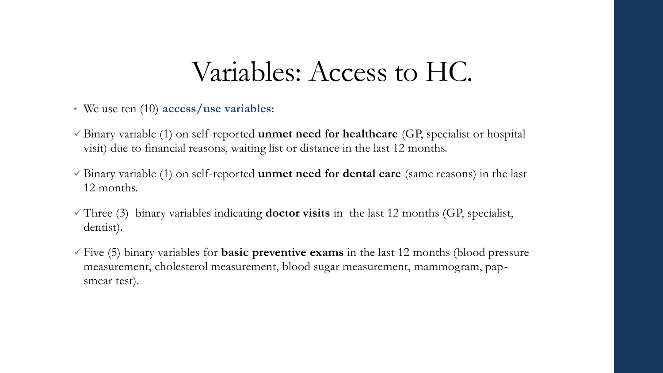### Variables: Access to HC.

- We use ten (10) **access/use variables**:
- ✓ Binary variable (1) on self-reported **unmet need for healthcare** (GP, specialist or hospital visit) due to financial reasons, waiting list or distance in the last 12 months.
- ✓ Binary variable (1) on self-reported **unmet need for dental care** (same reasons) in the last 12 months.
- ✓ Three (3) binary variables indicating **doctor visits** in the last 12 months (GP, specialist, dentist).
- ✓ Five (5) binary variables for **basic preventive exams** in the last 12 months (blood pressure measurement, cholesterol measurement, blood sugar measurement, mammogram, papsmear test).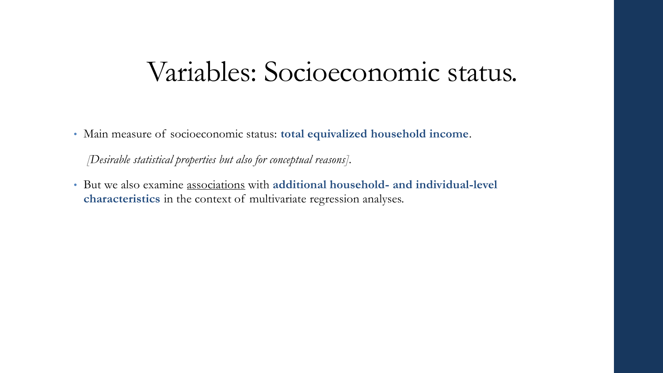### Variables: Socioeconomic status.

• Main measure of socioeconomic status: **total equivalized household income**.

*[Desirable statistical properties but also for conceptual reasons].* 

• But we also examine associations with **additional household- and individual-level characteristics** in the context of multivariate regression analyses.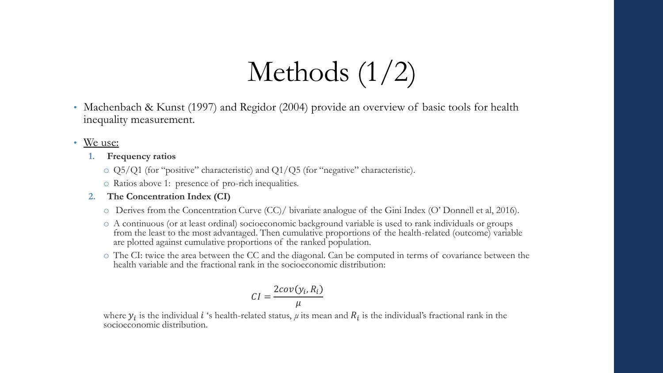# Methods (1/2)

- Machenbach & Kunst (1997) and Regidor (2004) provide an overview of basic tools for health inequality measurement.
- We use:
	- **1. Frequency ratios**
		- $\circ$  Q5/Q1 (for "positive" characteristic) and Q1/Q5 (for "negative" characteristic).
		- o Ratios above 1: presence of pro-rich inequalities.

#### **2. The Concentration Index (CI)**

- o Derives from the Concentration Curve (CC)/ bivariate analogue of the Gini Index (O' Donnell et al, 2016).
- o A continuous (or at least ordinal) socioeconomic background variable is used to rank individuals or groups from the least to the most advantaged. Then cumulative proportions of the health-related (outcome) variable are plotted against cumulative proportions of the ranked population.
- o The CI: twice the area between the CC and the diagonal. Can be computed in terms of covariance between the health variable and the fractional rank in the socioeconomic distribution:

$$
CI = \frac{2cov(y_i, R_i)}{\mu}
$$

where  $y_i$  is the individual *i* 's health-related status,  $\mu$  its mean and  $R_i$  is the individual's fractional rank in the socioeconomic distribution.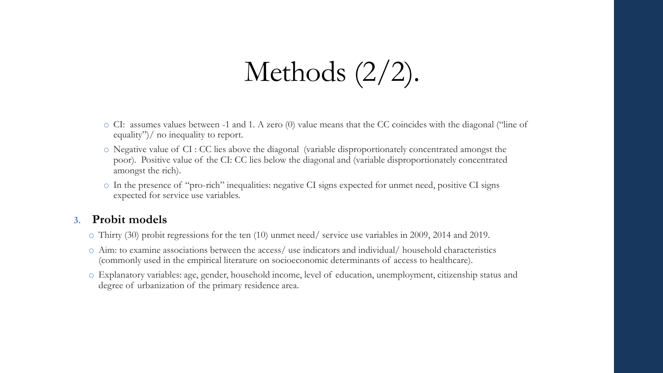## Methods (2/2).

- o CI: assumes values between -1 and 1. A zero (0) value means that the CC coincides with the diagonal ("line of equality")/ no inequality to report.
- o Negative value of CI : CC lies above the diagonal (variable disproportionately concentrated amongst the poor). Positive value of the CI: CC lies below the diagonal and (variable disproportionately concentrated amongst the rich).
- o In the presence of "pro-rich" inequalities: negative CI signs expected for unmet need, positive CI signs expected for service use variables.

#### **3. Probit models**

- o Thirty (30) probit regressions for the ten (10) unmet need/ service use variables in 2009, 2014 and 2019.
- o Aim: to examine associations between the access/ use indicators and individual/ household characteristics (commonly used in the empirical literature on socioeconomic determinants of access to healthcare).
- o Explanatory variables: age, gender, household income, level of education, unemployment, citizenship status and degree of urbanization of the primary residence area.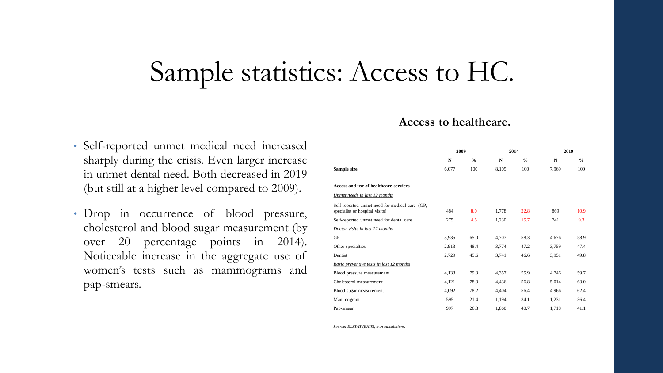### Sample statistics: Access to HC.

#### • Self-reported unmet medical need increased sharply during the crisis. Even larger increase in unmet dental need. Both decreased in 2019 (but still at a higher level compared to 2009).

• Drop in occurrence of blood pressure, cholesterol and blood sugar measurement (by over 20 percentage points in 2014). Noticeable increase in the aggregate use of women's tests such as mammograms and pap-smears.

#### **2009 2014 2019 N % N % N % Sample size** 6,077 100 8,105 100 7,969 100 **Access and use of healthcare services** *Unmet needs in last 12 months* Self-reported unmet need for medical care (GP, specialist or hospital visits) 484 8.0 1,778 22.8 869 10.9 Self-reported unmet need for dental care  $275$   $4.5$   $1,230$   $15.7$   $741$   $9.3$ *Doctor visits in last 12 months* GP 3,935 65.0 4,707 58.3 4,676 58.9 Other specialties 2,913 48.4 3,774 47.2 3,759 47.4 Dentist 2,729 45.6 3,741 46.6 3,951 49.8 *Basic preventive tests in last 12 months* Blood pressure measurement 4,133 79.3 4,357 55.9 4,746 59.7 Cholesterol measurement 4,121 78.3 4,436 56.8 5,014 63.0 Blood sugar measurement 4,092 78.2 4,404 56.4 4,966 62.4 Mammogram 595 21.4 1,194 34.1 1,231 36.4 Pap-smear 1,718 41.1

**Access to healthcare.**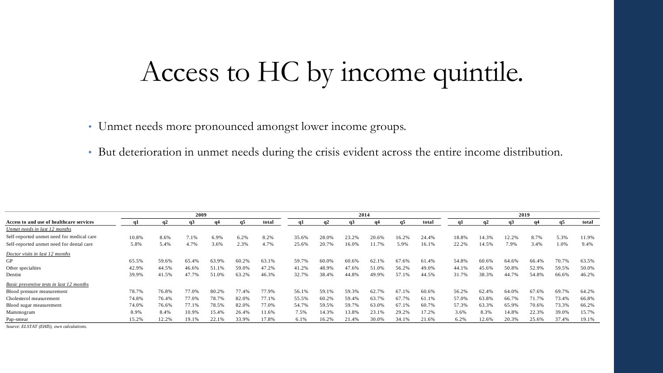## Access to HC by income quintile.

• Unmet needs more pronounced amongst lower income groups.

• But deterioration in unmet needs during the crisis evident across the entire income distribution.

|                                           |       |       | 2009  |       |       |       |       | 2014  |       |            |       | 2019  |       |       |       |       |       |       |
|-------------------------------------------|-------|-------|-------|-------|-------|-------|-------|-------|-------|------------|-------|-------|-------|-------|-------|-------|-------|-------|
| Access to and use of healthcare services  | q1    |       | GJ.   | q4    | q5    | total |       | q2    | q3    | <b>a</b> 4 | q5    | total |       | q2    | q3    | q4    | q5    | total |
| Unmet needs in last 12 months             |       |       |       |       |       |       |       |       |       |            |       |       |       |       |       |       |       |       |
| Self-reported unmet need for medical care | 10.8% | 8.6%  | 7.1%  | 6.9%  | 6.2%  | 8.2%  | 35.6% | 28.0% | 23.2% | 20.6%      | 16.2% | 24.4% | 18.8% | 14.3% | 12.2% | 8.7%  | 5.3%  | 11.9% |
| Self-reported unmet need for dental care  | 5.8%  | 5.4%  | 4.7%  | 3.6%  | 2.3%  | 4.7%  | 25.6% | 20.7% | 16.0% | 11.7%      | 5.9%  | 16.1% | 22.2% | 14.5% | 7.9%  | 3.4%  | 1.0%  | 9.4%  |
| Doctor visits in last 12 months           |       |       |       |       |       |       |       |       |       |            |       |       |       |       |       |       |       |       |
| GP                                        | 65.5% | 59.6% | 65.4% | 63.9% | 60.2% | 63.1% | 59.7% | 60.0% | 60.6% | 62.1%      | 67.6% | 61.4% | 54.8% | 60.6% | 64.6% | 66.4% | 70.7% | 63.5% |
| Other specialties                         | 42.9% | 44.5% | 46.6% | 51.1% | 59.0% | 47.2% | 41.2% | 48.9% | 47.6% | 51.0%      | 56.2% | 49.0% | 44.1% | 45.6% | 50.8% | 52.9% | 59.5% | 50.0% |
| Dentist                                   | 39.9% | 41.5% | 47.7% | 51.0% | 63.2% | 46.3% | 32.7% | 38.4% | 44.8% | 49.9%      | 57.1% | 44.5% | 31.7% | 38.3% | 44.7% | 54.8% | 66.6% | 46.2% |
| Basic preventive tests in last 12 months  |       |       |       |       |       |       |       |       |       |            |       |       |       |       |       |       |       |       |
| Blood pressure measurement                | 78.7% | 76.8% | 77.0% | 80.2% | 77.4% | 77.9% | 56.1% | 59.1% | 59.3% | 62.7%      | 67.1% | 60.6% | 56.2% | 62.4% | 64.0% | 67.6% | 69.7% | 64.2% |
| Cholesterol measurement                   | 74.8% | 76.4% | 77.0% | 78.7% | 82.0% | 77.1% | 55.5% | 60.2% | 59.4% | 63.7%      | 67.7% | 61.1% | 57.0% | 63.8% | 66.7% | 71.7% | 73.4% | 66.8% |
| Blood sugar measurement                   | 74.0% | 76.6% | 77.1% | 78.5% | 82.0% | 77.0% | 54.7% | 59.5% | 59.7% | 63.0%      | 67.1% | 60.7% | 57.3% | 63.3% | 65.9% | 70.6% | 73.3% | 66.2% |
| Mammogram                                 | 8.9%  | 8.4%  | 10.9% | 15.4% | 26.4% | 11.6% | 7.5%  | 14.3% | 13.8% | 23.1%      | 29.2% | 17.2% | 3.6%  | 8.3%  | 14.8% | 22.3% | 39.0% | 15.7% |
| Pap-smear                                 | 15.2% | 12.2% | 19.1% | 22.1% | 33.9% | 17.8% | 6.1%  | 16.2% | 21.4% | 30.0%      | 34.1% | 21.6% | 6.2%  | 12.6% | 20.3% | 25.6% | 37.4% | 19.1% |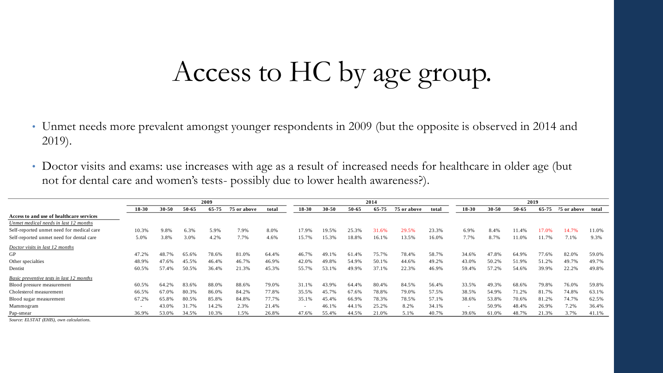# Access to HC by age group.

- Unmet needs more prevalent amongst younger respondents in 2009 (but the opposite is observed in 2014 and 2019).
- Doctor visits and exams: use increases with age as a result of increased needs for healthcare in older age (but not for dental care and women's tests- possibly due to lower health awareness?).

|                                                 | 2009                     |           |       |       |             |       | 2014                     |           |       |       |             | 2019  |                          |           |       |       |                   |       |
|-------------------------------------------------|--------------------------|-----------|-------|-------|-------------|-------|--------------------------|-----------|-------|-------|-------------|-------|--------------------------|-----------|-------|-------|-------------------|-------|
|                                                 | 18-30                    | $30 - 50$ | 50-65 | 65-75 | 75 or above | total | $18-30$                  | $30 - 50$ | 50-65 | 65-75 | 75 or above | total | $18 - 30$                | $30 - 50$ | 50-65 | 65-75 | 75 or above total |       |
| Access to and use of healthcare services        |                          |           |       |       |             |       |                          |           |       |       |             |       |                          |           |       |       |                   |       |
| Unmet medical needs in last 12 months           |                          |           |       |       |             |       |                          |           |       |       |             |       |                          |           |       |       |                   |       |
| Self-reported unmet need for medical care       | 10.3%                    | 9.8%      | 6.3%  | 5.9%  | 7.9%        | 8.0%  | 17.9%                    | 19.5%     | 25.3% | 31.6% | 29.5%       | 23.3% | 6.9%                     | 8.4%      | 11.4% | 17.0% | 14.7%             | 11.0% |
| Self-reported unmet need for dental care        | 5.0%                     | 3.8%      | 3.0%  | 4.2%  | 7.7%        | 4.6%  | 15.7%                    | 15.3%     | 18.8% | 16.1% | 13.5%       | 16.0% | 7.7%                     | 8.7%      | 11.0% | 11.7% | 7.1%              | 9.3%  |
| Doctor visits in last 12 months                 |                          |           |       |       |             |       |                          |           |       |       |             |       |                          |           |       |       |                   |       |
| GP                                              | 47.2%                    | 48.7%     | 65.6% | 78.6% | 81.0%       | 64.4% | 46.7%                    | 49.1%     | 61.4% | 75.7% | 78.4%       | 58.7% | 34.6%                    | 47.8%     | 64.9% | 77.6% | 82.0%             | 59.0% |
| Other specialties                               | 48.9%                    | 47.6%     | 45.5% | 46.4% | 46.7%       | 46.9% | 42.0%                    | 49.8%     | 54.9% | 50.1% | 44.6%       | 49.2% | 43.0%                    | 50.2%     | 51.9% | 51.2% | 49.7%             | 49.7% |
| Dentist                                         | 60.5%                    | 57.4%     | 50.5% | 36.4% | 21.3%       | 45.3% | 55.7%                    | 53.1%     | 49.9% | 37.1% | 22.3%       | 46.9% | 59.4%                    | 57.2%     | 54.6% | 39.9% | 22.2%             | 49.8% |
| <b>Basic preventive tests in last 12 months</b> |                          |           |       |       |             |       |                          |           |       |       |             |       |                          |           |       |       |                   |       |
| Blood pressure measurement                      | 60.5%                    | 64.2%     | 83.6% | 88.0% | 88.6%       | 79.0% | 31.1%                    | 43.9%     | 64.4% | 80.4% | 84.5%       | 56.4% | 33.5%                    | 49.3%     | 68.6% | 79.8% | 76.0%             | 59.8% |
| Cholesterol measurement                         | 66.5%                    | 67.0%     | 80.3% | 86.0% | 84.2%       | 77.8% | 35.5%                    | 45.7%     | 67.6% | 78.8% | 79.0%       | 57.5% | 38.5%                    | 54.9%     | 71.2% | 81.7% | 74.8%             | 63.1% |
| Blood sugar measurement                         | 67.2%                    | 65.8%     | 80.5% | 85.8% | 84.8%       | 77.7% | 35.1%                    | 45.4%     | 66.9% | 78.3% | 78.5%       | 57.1% | 38.6%                    | 53.8%     | 70.6% | 81.2% | 74.7%             | 62.5% |
| Mammogram                                       | $\overline{\phantom{0}}$ | 43.0%     | 31.7% | 14.2% | 2.3%        | 21.4% | $\overline{\phantom{a}}$ | 46.1%     | 44.1% | 25.2% | 8.2%        | 34.1% | $\overline{\phantom{0}}$ | 50.9%     | 48.4% | 26.9% | 7.2%              | 36.4% |
| Pap-smear                                       | 36.9%                    | 53.0%     | 34.5% | 10.3% | 1.5%        | 26.8% | 47.6%                    | 55.4%     | 44.5% | 21.0% | 5.1%        | 40.7% | 39.6%                    | 61.0%     | 48.7% | 21.3% | 3.7%              | 41.1% |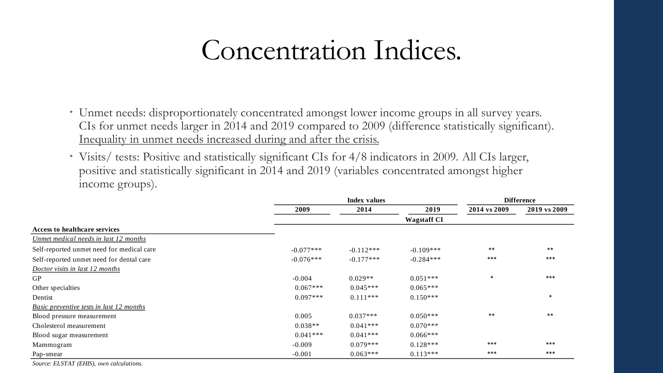## Concentration Indices.

- Unmet needs: disproportionately concentrated amongst lower income groups in all survey years. CIs for unmet needs larger in 2014 and 2019 compared to 2009 (difference statistically significant). Inequality in unmet needs increased during and after the crisis.
- Visits/ tests: Positive and statistically significant CIs for 4/8 indicators in 2009. All CIs larger, positive and statistically significant in 2014 and 2019 (variables concentrated amongst higher income groups).

|                                                 |             | <b>Index values</b> | <b>Difference</b>  |              |              |
|-------------------------------------------------|-------------|---------------------|--------------------|--------------|--------------|
|                                                 | 2009        | 2014                | 2019               | 2014 vs 2009 | 2019 vs 2009 |
|                                                 |             |                     | <b>Wagstaff CI</b> |              |              |
| <b>Access to healthcare services</b>            |             |                     |                    |              |              |
| Unmet medical needs in last 12 months           |             |                     |                    |              |              |
| Self-reported unmet need for medical care       | $-0.077***$ | $-0.112***$         | $-0.109***$        | $***$        | $***$        |
| Self-reported unmet need for dental care        | $-0.076***$ | $-0.177***$         | $-0.284***$        | ***          | ***          |
| Doctor visits in last 12 months                 |             |                     |                    |              |              |
| ${\rm GP}$                                      | $-0.004$    | $0.029**$           | $0.051***$         | $\ast$       | ***          |
| Other specialties                               | $0.067***$  | $0.045***$          | $0.065***$         |              |              |
| Dentist                                         | $0.097***$  | $0.111***$          | $0.150***$         |              | $\ast$       |
| Basic preventive tests in last 12 months        |             |                     |                    |              |              |
| Blood pressure measurement                      | 0.005       | $0.037***$          | $0.050***$         | $***$        | $***$        |
| Cholesterol measurement                         | $0.038**$   | $0.041***$          | $0.070***$         |              |              |
| Blood sugar measurement                         | $0.041***$  | $0.041***$          | $0.066***$         |              |              |
| Mammogram                                       | $-0.009$    | $0.079***$          | $0.128***$         | $***$        | ***          |
| Pap-smear                                       | $-0.001$    | $0.063***$          | $0.113***$         | $***$        | $***$        |
| <b>THE CONSTRUCTION</b><br>$\sim$ $\sim$ $\sim$ |             |                     |                    |              |              |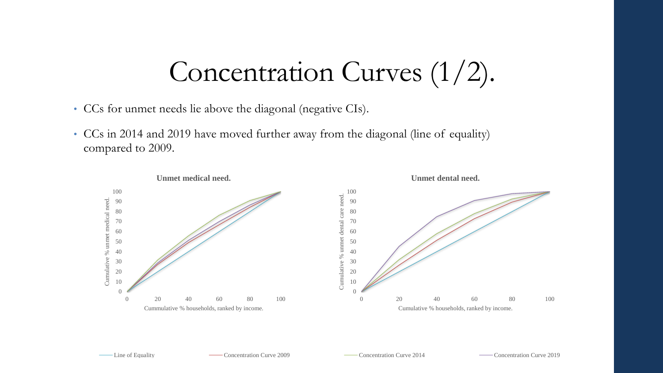# Concentration Curves (1/2).

- CCs for unmet needs lie above the diagonal (negative CIs).
- CCs in 2014 and 2019 have moved further away from the diagonal (line of equality) compared to 2009.

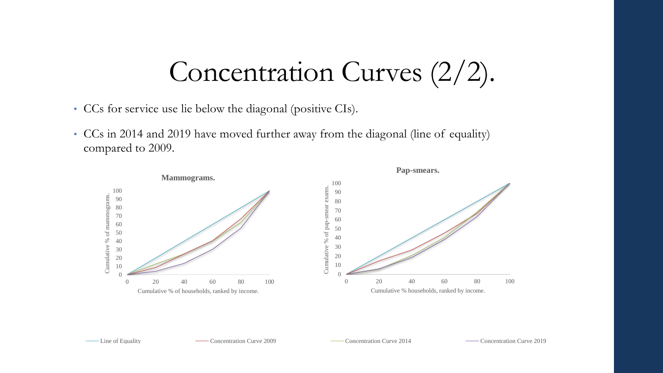# Concentration Curves (2/2).

- CCs for service use lie below the diagonal (positive CIs).
- CCs in 2014 and 2019 have moved further away from the diagonal (line of equality) compared to 2009.

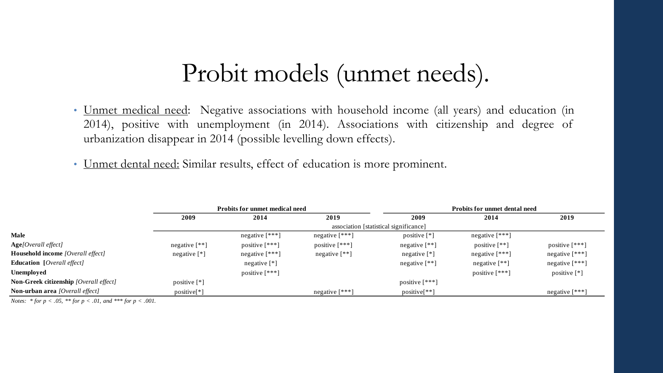### Probit models (unmet needs).

- Unmet medical need: Negative associations with household income (all years) and education (in 2014), positive with unemployment (in 2014). Associations with citizenship and degree of urbanization disappear in 2014 (possible levelling down effects).
- Unmet dental need: Similar results, effect of education is more prominent.

|                                               |                         | <b>Probits for unmet medical need</b> |                  |                                        | <b>Probits for unmet dental need</b> |                               |
|-----------------------------------------------|-------------------------|---------------------------------------|------------------|----------------------------------------|--------------------------------------|-------------------------------|
|                                               | 2009                    | 2014                                  | 2019             | 2009                                   | 2014                                 | 2019                          |
|                                               |                         |                                       |                  | association [statistical significance] |                                      |                               |
| <b>Male</b>                                   |                         | negative $[***]$                      | negative $[***]$ | positive $[$ <sup>*</sup> $]$          | negative $\lceil$ ***]               |                               |
| Age[Overall effect]                           | negative $[**]$         | positive $[***]$                      | positive $[***]$ | negative $[**]$                        | positive $[**]$                      | positive $[***]$              |
| <b>Household income</b> [Overall effect]      | negative $[*]$          | negative $[***]$                      | negative $[**]$  | negative $[$ <sup>*</sup> $]$          | negative $\lceil$ ***]               | negative $[***]$              |
| <b>Education</b> [ <i>Overall effect</i> ]    |                         | negative $[$ <sup>*</sup> $]$         |                  | negative $[**]$                        | negative $[$ **]                     | negative $[***]$              |
| Unemployed                                    |                         | positive $[***]$                      |                  |                                        | positive $[***]$                     | positive $[$ <sup>*</sup> $]$ |
| <b>Non-Greek citizenship</b> [Overall effect] | positive [*]            |                                       |                  | positive $[***]$                       |                                      |                               |
| <b>Non-urban area</b> [Overall effect]        | positive <sup>[*]</sup> |                                       | negative $[***]$ | $positive[**]$                         |                                      | negative $[***]$              |

*Notes: \* for p < .05, \*\* for p < .01, and \*\*\* for p < .001.*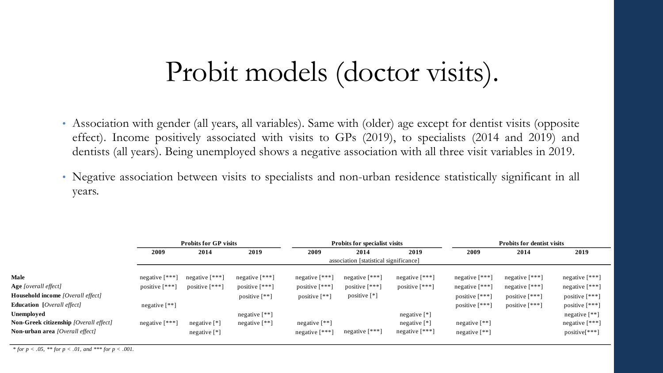## Probit models (doctor visits).

- Association with gender (all years, all variables). Same with (older) age except for dentist visits (opposite effect). Income positively associated with visits to GPs (2019), to specialists (2014 and 2019) and dentists (all years). Being unemployed shows a negative association with all three visit variables in 2019.
- Negative association between visits to specialists and non-urban residence statistically significant in all years.

|                                               |                       | <b>Probits for GP visits</b>  |                     |                     | <b>Probits for specialist visits</b>   |                               | <b>Probits for dentist visits</b> |                        |                  |  |
|-----------------------------------------------|-----------------------|-------------------------------|---------------------|---------------------|----------------------------------------|-------------------------------|-----------------------------------|------------------------|------------------|--|
|                                               | 2009                  | 2014                          | 2019                | 2009                | 2014                                   | 2019                          | 2009                              | 2014                   | 2019             |  |
|                                               |                       |                               |                     |                     | association [statistical significance] |                               |                                   |                        |                  |  |
| Male                                          | negative $\lceil$ *** | negative $[***]$              | negative $[***!]$   | negative $[***]$    | negative $[***]$                       | negative $[***]$              | negative $[***]$                  | negative $[***]$       | negative $[***]$ |  |
| <b>Age</b> [overall effect]                   | positive $[$ ***]     | positive $[***]$              | positive $[***]$    | positive $[***]$    | positive $[***]$                       | positive $[***]$              | negative $[***]$                  | negative $[***]$       | negative $[***]$ |  |
| <b>Household income</b> [Overall effect]      |                       |                               | positive $[$ ** $]$ | positive $[$ ** $]$ | positive $[$ <sup>*</sup> $]$          |                               | positive [***]                    | positive $[***]$       | positive [***]   |  |
| <b>Education</b> [ <i>Overall effect</i> ]    | negative $[$ ** $]$   |                               |                     |                     |                                        |                               | positive [***]                    | positive $\lceil$ ***] | positive $[***]$ |  |
| Unemployed                                    |                       |                               | negative $[**]$     |                     |                                        | negative $[$ <sup>*</sup> $]$ |                                   |                        | negative [**]    |  |
| <b>Non-Greek citizenship</b> [Overall effect] | negative $[***]$      | negative $[*]$                | negative $[**]$     | negative $[**]$     |                                        | negative $[*]$                | negative $[**]$                   |                        | negative $[***]$ |  |
| <b>Non-urban area</b> [Overall effect]        |                       | negative $[$ <sup>*</sup> $]$ |                     | negative $[***]$    | negative $[***]$                       | negative [***]                | negative $[**]$                   |                        | positive[***]    |  |
|                                               |                       |                               |                     |                     |                                        |                               |                                   |                        |                  |  |

*\* for p <sup>&</sup>lt; .05, \*\* for p <sup>&</sup>lt; .01, and \*\*\* for p <sup>&</sup>lt; .001.*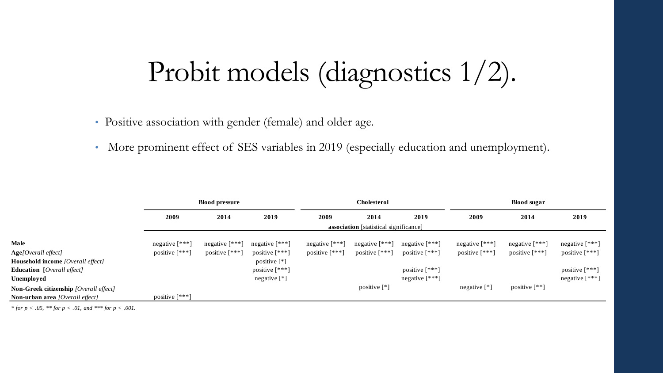# Probit models (diagnostics 1/2).

• Positive association with gender (female) and older age.

• More prominent effect of SES variables in 2019 (especially education and unemployment).

|                                               |                  | <b>Blood pressure</b> |                               |                   | <b>Cholesterol</b>                            |                  | <b>Blood sugar</b>            |                     |                      |  |
|-----------------------------------------------|------------------|-----------------------|-------------------------------|-------------------|-----------------------------------------------|------------------|-------------------------------|---------------------|----------------------|--|
|                                               | 2009             | 2014                  | 2019                          | 2009              | 2014                                          | 2019             | 2009                          | 2014                | 2019                 |  |
|                                               |                  |                       |                               |                   | <b>association</b> [statistical significance] |                  |                               |                     |                      |  |
| <b>Male</b>                                   | negative $[***]$ | negative $[***]$      | negative $[$ *** $]$          | negative [***]    | negative $[***]$                              | negative $[***]$ | negative $[$ *** $]$          | negative $[***]$    | negative $[$ *** $]$ |  |
| Age[Overall effect]                           | positive $[***]$ | positive [***]        | positive $[***]$              | positive $[$ ***] | positive $[$ ***]                             | positive $[***]$ | positive $[***]$              | positive [***]      | positive $[***]$     |  |
| <b>Household income</b> [Overall effect]      |                  |                       | positive [*]                  |                   |                                               |                  |                               |                     |                      |  |
| <b>Education</b> [Overall effect]             |                  |                       | positive [***]                |                   |                                               | positive $[***]$ |                               |                     | positive $[***]$     |  |
| Unemployed                                    |                  |                       | negative $[$ <sup>*</sup> $]$ |                   |                                               | negative $[***]$ |                               |                     | negative $[$ ***]    |  |
| <b>Non-Greek citizenship</b> [Overall effect] |                  |                       |                               |                   | positive [*]                                  |                  | negative $[$ <sup>*</sup> $]$ | positive $[$ ** $]$ |                      |  |
| <b>Non-urban area</b> [Overall effect]        | positive $[***]$ |                       |                               |                   |                                               |                  |                               |                     |                      |  |

*\* for p <sup>&</sup>lt; .05, \*\* for p <sup>&</sup>lt; .01, and \*\*\* for p <sup>&</sup>lt; .001.*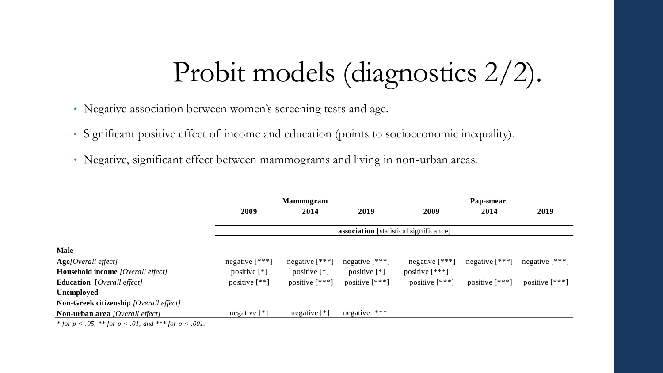# Probit models (diagnostics 2/2).

- Negative association between women's screening tests and age.
- Significant positive effect of income and education (points to socioeconomic inequality).
- Negative, significant effect between mammograms and living in non-urban areas.

|                                                                                                                                                                                                                                                                                                                                        |                                               | <b>Mammogram</b>              |                               | Pap-smear        |                  |                  |  |  |  |  |  |  |
|----------------------------------------------------------------------------------------------------------------------------------------------------------------------------------------------------------------------------------------------------------------------------------------------------------------------------------------|-----------------------------------------------|-------------------------------|-------------------------------|------------------|------------------|------------------|--|--|--|--|--|--|
|                                                                                                                                                                                                                                                                                                                                        | 2009                                          | 2014                          | 2019                          | 2009             | 2014             | 2019             |  |  |  |  |  |  |
|                                                                                                                                                                                                                                                                                                                                        | <b>association</b> [statistical significance] |                               |                               |                  |                  |                  |  |  |  |  |  |  |
| <b>Male</b>                                                                                                                                                                                                                                                                                                                            |                                               |                               |                               |                  |                  |                  |  |  |  |  |  |  |
| Age[Overall effect]                                                                                                                                                                                                                                                                                                                    | negative $[***]$                              | negative $[***]$              | negative $[***]$              | negative $[***]$ | negative $[***]$ | negative $[***]$ |  |  |  |  |  |  |
| <b>Household income</b> [Overall effect]                                                                                                                                                                                                                                                                                               | positive $[$ <sup>*</sup> $]$                 | positive $[$ <sup>*</sup> $]$ | positive $[$ <sup>*</sup> $]$ | positive $[***]$ |                  |                  |  |  |  |  |  |  |
| <b>Education</b> [ <i>Overall effect</i> ]                                                                                                                                                                                                                                                                                             | positive $[$ ** $]$                           | positive $[***]$              | positive $[***]$              | positive $[***]$ | positive $[***]$ | positive $[***]$ |  |  |  |  |  |  |
| Unemployed                                                                                                                                                                                                                                                                                                                             |                                               |                               |                               |                  |                  |                  |  |  |  |  |  |  |
| <b>Non-Greek citizenship</b> [Overall effect]                                                                                                                                                                                                                                                                                          |                                               |                               |                               |                  |                  |                  |  |  |  |  |  |  |
| <b>Non-urban area</b> [Overall effect]                                                                                                                                                                                                                                                                                                 | negative $[$ <sup>*</sup> $]$                 | negative $[$ <sup>*</sup> $]$ | negative $[***]$              |                  |                  |                  |  |  |  |  |  |  |
| $\mathcal{L}$ , $\mathcal{L}$ , $\mathcal{L}$ , $\mathcal{L}$ , $\mathcal{L}$ , $\mathcal{L}$ , $\mathcal{L}$ , $\mathcal{L}$ , $\mathcal{L}$ , $\mathcal{L}$ , $\mathcal{L}$ , $\mathcal{L}$ , $\mathcal{L}$ , $\mathcal{L}$ , $\mathcal{L}$ , $\mathcal{L}$ , $\mathcal{L}$ , $\mathcal{L}$ , $\mathcal{L}$ , $\mathcal{L}$ ,<br>AA1 |                                               |                               |                               |                  |                  |                  |  |  |  |  |  |  |

*\* for p <sup>&</sup>lt; .05, \*\* for p <sup>&</sup>lt; .01, and \*\*\* for p <sup>&</sup>lt; .001.*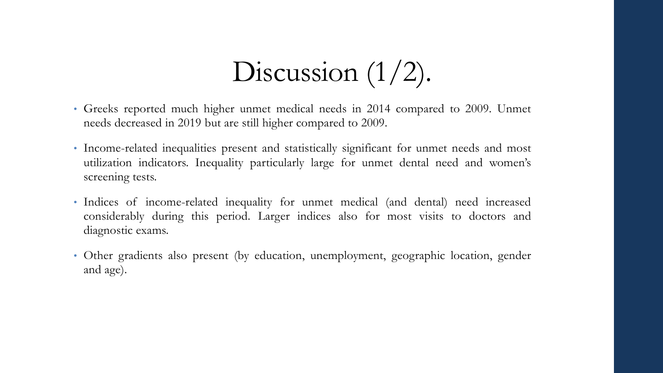# Discussion  $(1/2)$ .

- Greeks reported much higher unmet medical needs in 2014 compared to 2009. Unmet needs decreased in 2019 but are still higher compared to 2009.
- Income-related inequalities present and statistically significant for unmet needs and most utilization indicators. Inequality particularly large for unmet dental need and women's screening tests.
- Indices of income-related inequality for unmet medical (and dental) need increased considerably during this period. Larger indices also for most visits to doctors and diagnostic exams.
- Other gradients also present (by education, unemployment, geographic location, gender and age).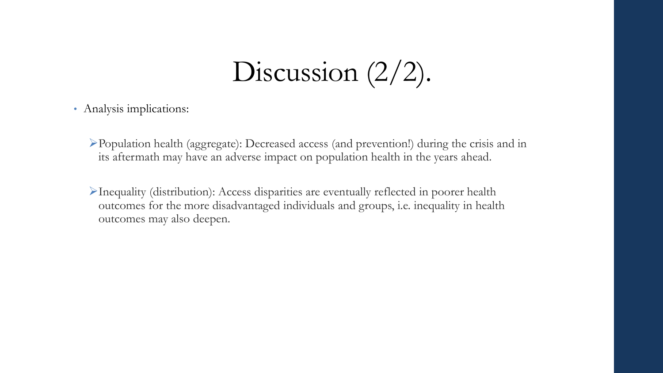## Discussion  $(2/2)$ .

• Analysis implications:

➢Population health (aggregate): Decreased access (and prevention!) during the crisis and in its aftermath may have an adverse impact on population health in the years ahead.

➢Inequality (distribution): Access disparities are eventually reflected in poorer health outcomes for the more disadvantaged individuals and groups, i.e. inequality in health outcomes may also deepen.